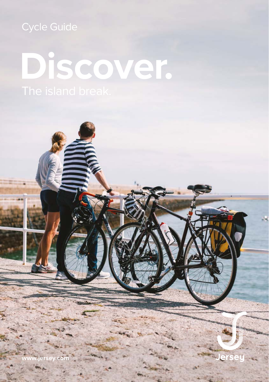## **Discover.**

**www.jersey.com**

**Jers**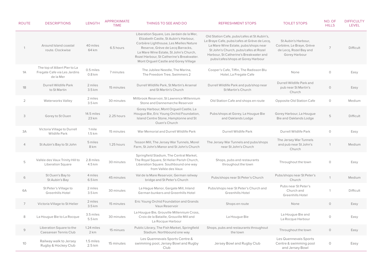| <b>ROUTE</b>   | <b>DESCRIPTIONS</b>                                                       | <b>LENGTH</b>                  | <b>APPROXIMATE</b><br><b>TIME</b> | THINGS TO SEE AND DO                                                                                                                                                                                                                                                                              | <b>REFRESHMENT STOPS</b>                                                                                                                                                                                                                                   | <b>TOILET STOPS</b>                                                                         | NO. OF<br><b>HILLS</b> | <b>DIFFICULTY</b><br><b>LEVEL</b> |
|----------------|---------------------------------------------------------------------------|--------------------------------|-----------------------------------|---------------------------------------------------------------------------------------------------------------------------------------------------------------------------------------------------------------------------------------------------------------------------------------------------|------------------------------------------------------------------------------------------------------------------------------------------------------------------------------------------------------------------------------------------------------------|---------------------------------------------------------------------------------------------|------------------------|-----------------------------------|
|                | Around Island coastal<br>route. Clockwise                                 | 40 miles<br>64 km              | 6.5 hours                         | Liberation Square, Les Jardain de la Mer,<br>Elizabeth Castle, St Aubin's Harbour,<br>Corbière Lighthouse, Les Mielles Nature<br>Reserve, Grève de Lecq Barracks,<br>La Mare Wine Estate, St John's Church,<br>Rozel Harbour, St Catherine's Breakwater.<br>Mont Orgueil Castle and Gorey Village | Old Station Cafe, pubs/cafes at St Aubin's,<br>Le Braye Cafe, pubs/cafes at Grève de Lecq,<br>La Mare Wine Estate, pubs/shops near<br>St John's Church, pubs/cafes at Rozel<br>Harbour, St Catherine's Breakwater and<br>pubs/cafes/shops at Gorey Harbour | St Aubin's Harbour,<br>Corbière, Le Braye, Grève<br>de Lecq, Rozel Bay and<br>Gorey Harbour | $\overline{7}$         | Difficult                         |
| 1A             | The top of Albert Pier to La<br>Fregate Cafe via Les Jardins<br>de la Mer | 0.5 miles<br>0.8 <sub>km</sub> | 7 minutes                         | The Jubilee Needle, The Marina,<br>The Freedom Tree, Swimmers 2                                                                                                                                                                                                                                   | Cooper's Cafe, Tiffin, The Radisson Blu<br>Hotel, La Fregate Cafe                                                                                                                                                                                          | None                                                                                        | $\circlearrowright$    | Easy                              |
| 1B             | Durrell Wildlife Park<br>to St Martin                                     | 2 miles<br>$3.5 \mathrm{km}$   | 15 minutes                        | Durrell Wildlife Park, St Martin's Arsenal<br>and St Martin's Church                                                                                                                                                                                                                              | Durrell Wildlife Park and pub/shop near<br>St Martin's Church                                                                                                                                                                                              | Durrell Wildlife Park and<br>pub near St Martin's<br>Church                                 | $\bigcirc$             | Easy                              |
| $\overline{2}$ | Waterworks Valley                                                         | 2 miles<br>$3.5 \mathrm{km}$   | 30 minutes                        | Millbrook Reservoir, St Lawrence Millennium<br>Stone and Dannemarche Reservoir                                                                                                                                                                                                                    | Old Station Cafe and shops en route                                                                                                                                                                                                                        | Opposite Old Station Cafe                                                                   | $\circlearrowright$    | Medium                            |
| 3              | Gorey to St Ouen                                                          | 14.5 miles<br>23 km            | 2.25 hours                        | Gorey Harbour, Mont Orqueil Castle, La<br>Hougue Bie, Eric Young Orchid Foundation,<br>Island Centre Stone, Hamptonne and St<br>Ouen's Church                                                                                                                                                     | Pubs/shops at Gorey, La Hougue Bie<br>and Oaklands Lodge                                                                                                                                                                                                   | Gorey Harbour, La Hougue<br>Bie and Oaklands Lodge                                          | 5                      | Difficult                         |
| 3A             | Victoria Village to Durrell<br><b>Wildlife Park</b>                       | 1 mile<br>$1.5 \mathrm{km}$    | 15 minutes                        | War Memorial and Durrell Wildlife Park                                                                                                                                                                                                                                                            | <b>Durrell Wildlife Park</b>                                                                                                                                                                                                                               | <b>Durrell Wildlife Park</b>                                                                | $\circ$                | Easy                              |
| $\overline{4}$ | St Aubin's Bay to St John                                                 | 5 miles<br>8 km                | 1.25 hours                        | Tesson Mill, The Jersey War Tunnels, Morel<br>Farm, St John's Manor and St John's Church                                                                                                                                                                                                          | The Jersey War Tunnels and pubs/shops<br>near St John's Church                                                                                                                                                                                             | The Jersey War Tunnels<br>and pub near St John's<br>Church                                  | $\mathbf{1}$           | Medium                            |
| 5              | Vallée des Vaux Trinity Hill to<br><b>Liberation Square</b>               | 2.8 miles<br>4.5 km            | 30 minutes                        | Springfield Stadium, The Central Market,<br>The Royal Square, St Helier Parish Church,<br>Liberation Square. Southbound one way<br>from Vallée des Vaux                                                                                                                                           | Shops, pubs and restaurants<br>throughout the town                                                                                                                                                                                                         | Throughout the town                                                                         | $\circlearrowright$    | Easy                              |
| 6              | St Ouen's Bay to<br>St Aubin's Bay                                        | 4 miles<br>6.5 km              | 45 minutes                        | Val de la Mare Reservoir, German railway<br>bridge and St Peter's Church                                                                                                                                                                                                                          | Pubs/shops near St Peter's Church                                                                                                                                                                                                                          | Pubs/shops near St Peter's<br>Church                                                        | $\mathbf{1}$           | Medium                            |
| 6A             | St Peter's Village to<br>Greenhills Hotel                                 | 2 miles<br>3.5 km              | 30 minutes                        | La Hague Manor, Gargate Mill, Inland<br>German bunkers and Greenhills Hotel                                                                                                                                                                                                                       | Pubs/shops near St Peter's Church and<br>Greenhills Hotel                                                                                                                                                                                                  | Pubs near St Peter's<br>Church and<br>Greenhills Hotel                                      | $\mathbf{1}$           | Difficult                         |
| $\overline{7}$ | Victoria Village to St Helier                                             | 2 miles<br>$3.5 \mathrm{km}$   | 15 minutes                        | Eric Young Orchid Foundation and Grands<br>Vaux Reservoir                                                                                                                                                                                                                                         | Shops en route                                                                                                                                                                                                                                             | None                                                                                        | $\circ$                | Easy                              |
| 8              | La Hougue Bie to La Rocque                                                | 3.5 miles<br>5.5 km            | 30 minutes                        | La Hougue Bie, Grouville Millennium Cross,<br>Croix de la Bataille, Grouville Mill and<br>La Rocque Harbour                                                                                                                                                                                       | La Hougue Bie                                                                                                                                                                                                                                              | La Hougue Bie and<br>La Rocque Harbour                                                      | $\circ$                | Easy                              |
| $\mathcal{G}$  | Liberation Square to the<br>Caesarean Tennis Club                         | 1.24 miles<br>2 km             | 15 minues                         | Public Library, The Fish Market, Springfield<br>Stadium. Northbound one way                                                                                                                                                                                                                       | Shops, pubs and restaurants throughout<br>the town                                                                                                                                                                                                         | Throughout the town                                                                         | $\circ$                | Easy                              |
| 10             | Railway walk to Jersey<br>Rugby & Hockey Club                             | 1.5 miles<br>2.5 km            | 15 minutes                        | Les Quennevais Sports Centre &<br>swimming pool, Jersey Bowl and Rugby<br>Club                                                                                                                                                                                                                    | Jersey Bowl and Rugby Club                                                                                                                                                                                                                                 | Les Quennevais Sports<br>Centre & swimming pool<br>and Jersey Bowl                          | $\circ$                | Easy                              |